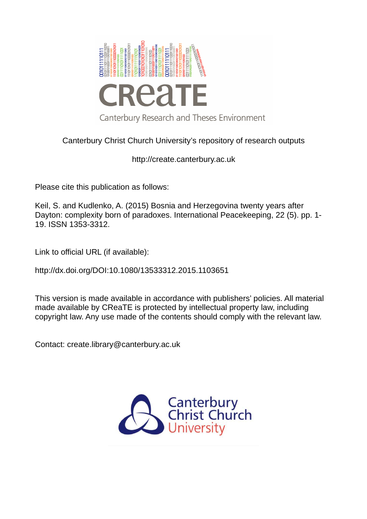

# Canterbury Christ Church University's repository of research outputs

http://create.canterbury.ac.uk

Please cite this publication as follows:

Keil, S. and Kudlenko, A. (2015) Bosnia and Herzegovina twenty years after Dayton: complexity born of paradoxes. International Peacekeeping, 22 (5). pp. 1- 19. ISSN 1353-3312.

Link to official URL (if available):

http://dx.doi.org/DOI:10.1080/13533312.2015.1103651

This version is made available in accordance with publishers' policies. All material made available by CReaTE is protected by intellectual property law, including copyright law. Any use made of the contents should comply with the relevant law.

Contact: create.library@canterbury.ac.uk

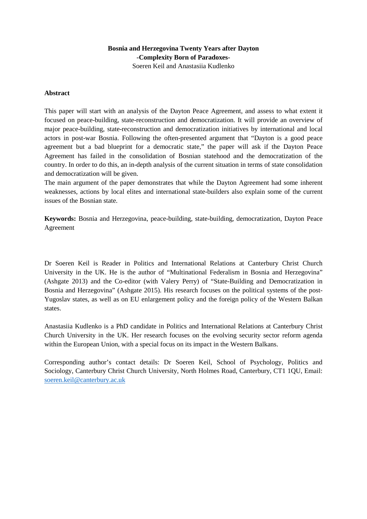## **Bosnia and Herzegovina Twenty Years after Dayton -Complexity Born of Paradoxes-**Soeren Keil and Anastasiia Kudlenko

## **Abstract**

This paper will start with an analysis of the Dayton Peace Agreement, and assess to what extent it focused on peace-building, state-reconstruction and democratization. It will provide an overview of major peace-building, state-reconstruction and democratization initiatives by international and local actors in post-war Bosnia. Following the often-presented argument that "Dayton is a good peace agreement but a bad blueprint for a democratic state," the paper will ask if the Dayton Peace Agreement has failed in the consolidation of Bosnian statehood and the democratization of the country. In order to do this, an in-depth analysis of the current situation in terms of state consolidation and democratization will be given.

The main argument of the paper demonstrates that while the Dayton Agreement had some inherent weaknesses, actions by local elites and international state-builders also explain some of the current issues of the Bosnian state.

**Keywords:** Bosnia and Herzegovina, peace-building, state-building, democratization, Dayton Peace Agreement

Dr Soeren Keil is Reader in Politics and International Relations at Canterbury Christ Church University in the UK. He is the author of "Multinational Federalism in Bosnia and Herzegovina" (Ashgate 2013) and the Co-editor (with Valery Perry) of "State-Building and Democratization in Bosnia and Herzegovina" (Ashgate 2015). His research focuses on the political systems of the post-Yugoslav states, as well as on EU enlargement policy and the foreign policy of the Western Balkan states.

Anastasiia Kudlenko is a PhD candidate in Politics and International Relations at Canterbury Christ Church University in the UK. Her research focuses on the evolving security sector reform agenda within the European Union, with a special focus on its impact in the Western Balkans.

Corresponding author's contact details: Dr Soeren Keil, School of Psychology, Politics and Sociology, Canterbury Christ Church University, North Holmes Road, Canterbury, CT1 1QU, Email: [soeren.keil@canterbury.ac.uk](mailto:soeren.keil@canterbury.ac.uk)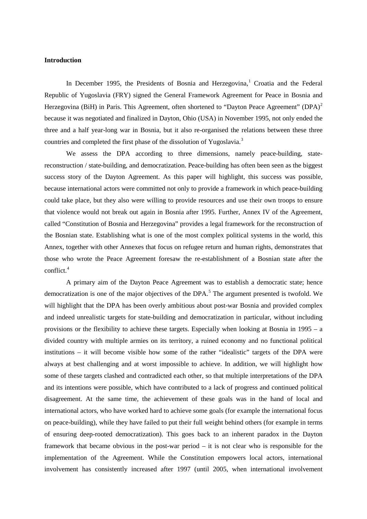### **Introduction**

In December [1](#page-16-0)995, the Presidents of Bosnia and Herzegovina,<sup>1</sup> Croatia and the Federal Republic of Yugoslavia (FRY) signed the General Framework Agreement for Peace in Bosnia and Herzegovina (BiH) in Paris. This Agreement, often shortened to "Dayton Peace Agreement" (DPA)<sup>[2](#page-16-1)</sup> because it was negotiated and finalized in Dayton, Ohio (USA) in November 1995, not only ended the three and a half year-long war in Bosnia, but it also re-organised the relations between these three countries and completed the first phase of the dissolution of Yugoslavia.<sup>[3](#page-16-2)</sup>

We assess the DPA according to three dimensions, namely peace-building, statereconstruction / state-building, and democratization. Peace-building has often been seen as the biggest success story of the Dayton Agreement. As this paper will highlight, this success was possible, because international actors were committed not only to provide a framework in which peace-building could take place, but they also were willing to provide resources and use their own troops to ensure that violence would not break out again in Bosnia after 1995. Further, Annex IV of the Agreement, called "Constitution of Bosnia and Herzegovina" provides a legal framework for the reconstruction of the Bosnian state. Establishing what is one of the most complex political systems in the world, this Annex, together with other Annexes that focus on refugee return and human rights, demonstrates that those who wrote the Peace Agreement foresaw the re-establishment of a Bosnian state after the conflict.<sup>[4](#page-16-3)</sup>

A primary aim of the Dayton Peace Agreement was to establish a democratic state; hence democratization is one of the major objectives of the DPA.<sup>[5](#page-16-4)</sup> The argument presented is twofold. We will highlight that the DPA has been overly ambitious about post-war Bosnia and provided complex and indeed unrealistic targets for state-building and democratization in particular, without including provisions or the flexibility to achieve these targets. Especially when looking at Bosnia in 1995 – a divided country with multiple armies on its territory, a ruined economy and no functional political institutions – it will become visible how some of the rather "idealistic" targets of the DPA were always at best challenging and at worst impossible to achieve. In addition, we will highlight how some of these targets clashed and contradicted each other, so that multiple interpretations of the DPA and its intentions were possible, which have contributed to a lack of progress and continued political disagreement. At the same time, the achievement of these goals was in the hand of local and international actors, who have worked hard to achieve some goals (for example the international focus on peace-building), while they have failed to put their full weight behind others (for example in terms of ensuring deep-rooted democratization). This goes back to an inherent paradox in the Dayton framework that became obvious in the post-war period – it is not clear who is responsible for the implementation of the Agreement. While the Constitution empowers local actors, international involvement has consistently increased after 1997 (until 2005, when international involvement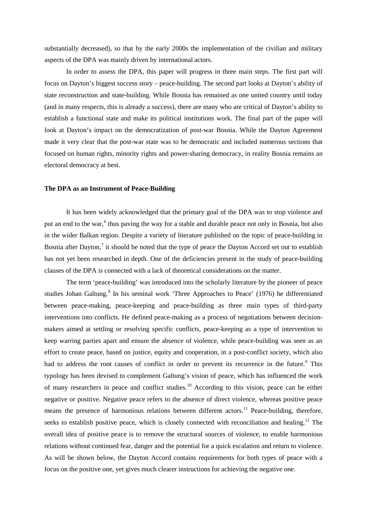substantially decreased), so that by the early 2000s the implementation of the civilian and military aspects of the DPA was mainly driven by international actors.

In order to assess the DPA, this paper will progress in three main steps. The first part will focus on Dayton's biggest success story – peace-building. The second part looks at Dayton's ability of state reconstruction and state-building. While Bosnia has remained as one united country until today (and in many respects, this is already a success), there are many who are critical of Dayton's ability to establish a functional state and make its political institutions work. The final part of the paper will look at Dayton's impact on the democratization of post-war Bosnia. While the Dayton Agreement made it very clear that the post-war state was to be democratic and included numerous sections that focused on human rights, minority rights and power-sharing democracy, in reality Bosnia remains an electoral democracy at best.

#### **The DPA as an Instrument of Peace-Building**

It has been widely acknowledged that the primary goal of the DPA was to stop violence and put an end to the war,<sup>[6](#page-17-0)</sup> thus paving the way for a stable and durable peace not only in Bosnia, but also in the wider Balkan region. Despite a variety of literature published on the topic of peace-building in Bosnia after Dayton,<sup>[7](#page-17-1)</sup> it should be noted that the type of peace the Dayton Accord set out to establish has not yet been researched in depth. One of the deficiencies present in the study of peace-building clauses of the DPA is connected with a lack of theoretical considerations on the matter.

The term 'peace-building' was introduced into the scholarly literature by the pioneer of peace studies Johan Galtung.<sup>[8](#page-17-2)</sup> In his seminal work 'Three Approaches to Peace' (1976) he differentiated between peace-making, peace-keeping and peace-building as three main types of third-party interventions into conflicts. He defined peace-making as a process of negotiations between decisionmakers aimed at settling or resolving specific conflicts, peace-keeping as a type of intervention to keep warring parties apart and ensure the absence of violence, while peace-building was seen as an effort to create peace, based on justice, equity and cooperation, in a post-conflict society, which also had to address the root causes of conflict in order to prevent its recurrence in the future.<sup>[9](#page-17-3)</sup> This typology has been devised to complement Galtung's vision of peace, which has influenced the work of many researchers in peace and conflict studies.<sup>[10](#page-17-4)</sup> According to this vision, peace can be either negative or positive. Negative peace refers to the absence of direct violence, whereas positive peace means the presence of harmonious relations between different actors.<sup>[11](#page-17-5)</sup> Peace-building, therefore, seeks to establish positive peace, which is closely connected with reconciliation and healing.<sup>[12](#page-17-6)</sup> The overall idea of positive peace is to remove the structural sources of violence, to enable harmonious relations without continued fear, danger and the potential for a quick escalation and return to violence. As will be shown below, the Dayton Accord contains requirements for both types of peace with a focus on the positive one, yet gives much clearer instructions for achieving the negative one.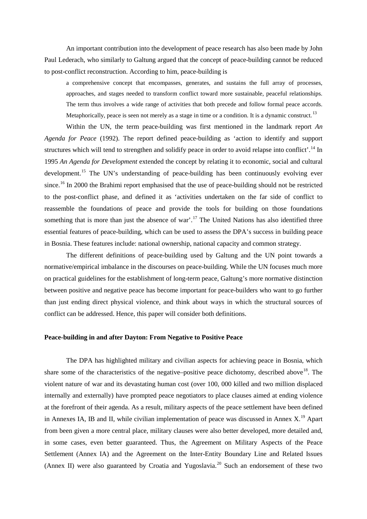An important contribution into the development of peace research has also been made by John Paul Lederach, who similarly to Galtung argued that the concept of peace-building cannot be reduced to post-conflict reconstruction. According to him, peace-building is

a comprehensive concept that encompasses, generates, and sustains the full array of processes, approaches, and stages needed to transform conflict toward more sustainable, peaceful relationships. The term thus involves a wide range of activities that both precede and follow formal peace accords. Metaphorically, peace is seen not merely as a stage in time or a condition. It is a dynamic construct.<sup>[13](#page-18-0)</sup>

Within the UN, the term peace-building was first mentioned in the landmark report *An Agenda for Peace* (1992). The report defined peace-building as 'action to identify and support structures which will tend to strengthen and solidify peace in order to avoid relapse into conflict'.<sup>[14](#page-18-1)</sup> In 1995 *An Agenda for Development* extended the concept by relating it to economic, social and cultural development.<sup>[15](#page-18-2)</sup> The UN's understanding of peace-building has been continuously evolving ever since.<sup>[16](#page-18-3)</sup> In 2000 the Brahimi report emphasised that the use of peace-building should not be restricted to the post-conflict phase, and defined it as 'activities undertaken on the far side of conflict to reassemble the foundations of peace and provide the tools for building on those foundations something that is more than just the absence of war'.<sup>[17](#page-18-4)</sup> The United Nations has also identified three essential features of peace-building, which can be used to assess the DPA's success in building peace in Bosnia. These features include: national ownership, national capacity and common strategy.

The different definitions of peace-building used by Galtung and the UN point towards a normative/empirical imbalance in the discourses on peace-building. While the UN focuses much more on practical guidelines for the establishment of long-term peace, Galtung's more normative distinction between positive and negative peace has become important for peace-builders who want to go further than just ending direct physical violence, and think about ways in which the structural sources of conflict can be addressed. Hence, this paper will consider both definitions.

#### **Peace-building in and after Dayton: From Negative to Positive Peace**

The DPA has highlighted military and civilian aspects for achieving peace in Bosnia, which share some of the characteristics of the negative–positive peace dichotomy, described above<sup>[18](#page-18-5)</sup>. The violent nature of war and its devastating human cost (over 100, 000 killed and two million displaced internally and externally) have prompted peace negotiators to place clauses aimed at ending violence at the forefront of their agenda. As a result, military aspects of the peace settlement have been defined in Annexes IA, IB and II, while civilian implementation of peace was discussed in Annex  $X$ .<sup>[19](#page-18-6)</sup> Apart from been given a more central place, military clauses were also better developed, more detailed and, in some cases, even better guaranteed. Thus, the Agreement on Military Aspects of the Peace Settlement (Annex IA) and the Agreement on the Inter-Entity Boundary Line and Related Issues (Annex II) were also guaranteed by Croatia and Yugoslavia.<sup>[20](#page-18-7)</sup> Such an endorsement of these two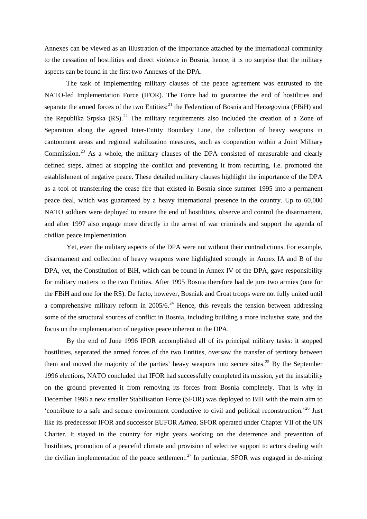Annexes can be viewed as an illustration of the importance attached by the international community to the cessation of hostilities and direct violence in Bosnia, hence, it is no surprise that the military aspects can be found in the first two Annexes of the DPA.

The task of implementing military clauses of the peace agreement was entrusted to the NATO-led Implementation Force (IFOR). The Force had to guarantee the end of hostilities and separate the armed forces of the two Entities:<sup>[21](#page-19-0)</sup> the Federation of Bosnia and Herzegovina (FBiH) and the Republika Srpska  $(RS)$ .<sup>[22](#page-19-1)</sup> The military requirements also included the creation of a Zone of Separation along the agreed Inter-Entity Boundary Line, the collection of heavy weapons in cantonment areas and regional stabilization measures, such as cooperation within a Joint Military Commission.<sup>[23](#page-19-2)</sup> As a whole, the military clauses of the DPA consisted of measurable and clearly defined steps, aimed at stopping the conflict and preventing it from recurring, i.e. promoted the establishment of negative peace. These detailed military clauses highlight the importance of the DPA as a tool of transferring the cease fire that existed in Bosnia since summer 1995 into a permanent peace deal, which was guaranteed by a heavy international presence in the country. Up to 60,000 NATO soldiers were deployed to ensure the end of hostilities, observe and control the disarmament, and after 1997 also engage more directly in the arrest of war criminals and support the agenda of civilian peace implementation.

Yet, even the military aspects of the DPA were not without their contradictions. For example, disarmament and collection of heavy weapons were highlighted strongly in Annex IA and B of the DPA, yet, the Constitution of BiH, which can be found in Annex IV of the DPA, gave responsibility for military matters to the two Entities. After 1995 Bosnia therefore had de jure two armies (one for the FBiH and one for the RS). De facto, however, Bosniak and Croat troops were not fully united until a comprehensive military reform in  $2005/6$ .<sup>[24](#page-19-3)</sup> Hence, this reveals the tension between addressing some of the structural sources of conflict in Bosnia, including building a more inclusive state, and the focus on the implementation of negative peace inherent in the DPA.

By the end of June 1996 IFOR accomplished all of its principal military tasks: it stopped hostilities, separated the armed forces of the two Entities, oversaw the transfer of territory between them and moved the majority of the parties' heavy weapons into secure sites.<sup>[25](#page-19-4)</sup> By the September 1996 elections, NATO concluded that IFOR had successfully completed its mission, yet the instability on the ground prevented it from removing its forces from Bosnia completely. That is why in December 1996 a new smaller Stabilisation Force (SFOR) was deployed to BiH with the main aim to 'contribute to a safe and secure environment conductive to civil and political reconstruction.'[26](#page-19-5) Just like its predecessor IFOR and successor EUFOR *Althea*, SFOR operated under Chapter VII of the UN Charter. It stayed in the country for eight years working on the deterrence and prevention of hostilities, promotion of a peaceful climate and provision of selective support to actors dealing with the civilian implementation of the peace settlement.<sup>[27](#page-19-6)</sup> In particular, SFOR was engaged in de-mining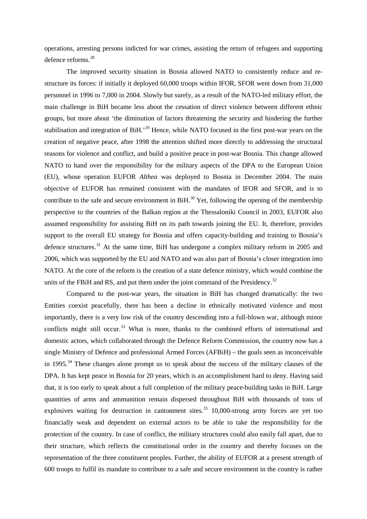operations, arresting persons indicted for war crimes, assisting the return of refugees and supporting defence reforms.[28](#page-19-7)

The improved security situation in Bosnia allowed NATO to consistently reduce and restructure its forces: if initially it deployed 60,000 troops within IFOR, SFOR went down from 31,000 personnel in 1996 to 7,000 in 2004. Slowly but surely, as a result of the NATO-led military effort, the main challenge in BiH became less about the cessation of direct violence between different ethnic groups, but more about 'the diminution of factors threatening the security and hindering the further stabilisation and integration of BiH.<sup>[29](#page-19-8)</sup> Hence, while NATO focused in the first post-war years on the creation of negative peace, after 1998 the attention shifted more directly to addressing the structural reasons for violence and conflict, and build a positive peace in post-war Bosnia. This change allowed NATO to hand over the responsibility for the military aspects of the DPA to the European Union (EU), whose operation EUFOR *Althea* was deployed to Bosnia in December 2004. The main objective of EUFOR has remained consistent with the mandates of IFOR and SFOR, and is to contribute to the safe and secure environment in BiH.<sup>[30](#page-19-9)</sup> Yet, following the opening of the membership perspective to the countries of the Balkan region at the Thessaloniki Council in 2003, EUFOR also assumed responsibility for assisting BiH on its path towards joining the EU. It, therefore, provides support to the overall EU strategy for Bosnia and offers capacity-building and training to Bosnia's defence structures.<sup>[31](#page-19-10)</sup> At the same time, BiH has undergone a complex military reform in 2005 and 2006, which was supported by the EU and NATO and was also part of Bosnia's closer integration into NATO. At the core of the reform is the creation of a state defence ministry, which would combine the units of the FBiH and RS, and put them under the joint command of the Presidency.<sup>[32](#page-19-11)</sup>

Compared to the post-war years, the situation in BiH has changed dramatically: the two Entities coexist peacefully, there has been a decline in ethnically motivated violence and most importantly, there is a very low risk of the country descending into a full-blown war, although minor conflicts might still occur.<sup>[33](#page-19-12)</sup> What is more, thanks to the combined efforts of international and domestic actors, which collaborated through the Defence Reform Commission, the country now has a single Ministry of Defence and professional Armed Forces (AFBiH) – the goals seen as inconceivable in 1995.<sup>[34](#page-19-13)</sup> These changes alone prompt us to speak about the success of the military clauses of the DPA. It has kept peace in Bosnia for 20 years, which is an accomplishment hard to deny. Having said that, it is too early to speak about a full completion of the military peace-building tasks in BiH. Large quantities of arms and ammunition remain dispersed throughout BiH with thousands of tons of explosives waiting for destruction in cantonment sites.<sup>[35](#page-19-14)</sup> 10,000-strong army forces are yet too financially weak and dependent on external actors to be able to take the responsibility for the protection of the country. In case of conflict, the military structures could also easily fall apart, due to their structure, which reflects the constitutional order in the country and thereby focuses on the representation of the three constituent peoples. Further, the ability of EUFOR at a present strength of 600 troops to fulfil its mandate to contribute to a safe and secure environment in the country is rather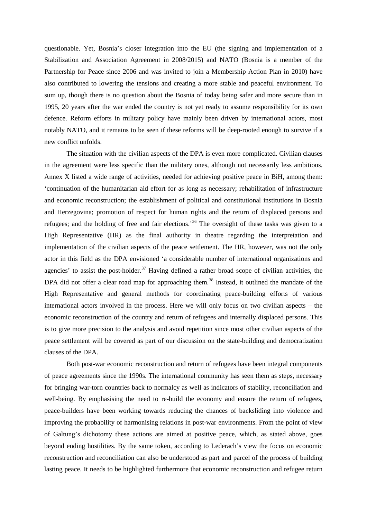questionable. Yet, Bosnia's closer integration into the EU (the signing and implementation of a Stabilization and Association Agreement in 2008/2015) and NATO (Bosnia is a member of the Partnership for Peace since 2006 and was invited to join a Membership Action Plan in 2010) have also contributed to lowering the tensions and creating a more stable and peaceful environment. To sum up, though there is no question about the Bosnia of today being safer and more secure than in 1995, 20 years after the war ended the country is not yet ready to assume responsibility for its own defence. Reform efforts in military policy have mainly been driven by international actors, most notably NATO, and it remains to be seen if these reforms will be deep-rooted enough to survive if a new conflict unfolds.

The situation with the civilian aspects of the DPA is even more complicated. Civilian clauses in the agreement were less specific than the military ones, although not necessarily less ambitious. Annex X listed a wide range of activities, needed for achieving positive peace in BiH, among them: 'continuation of the humanitarian aid effort for as long as necessary; rehabilitation of infrastructure and economic reconstruction; the establishment of political and constitutional institutions in Bosnia and Herzegovina; promotion of respect for human rights and the return of displaced persons and refugees; and the holding of free and fair elections.'[36](#page-19-15) The oversight of these tasks was given to a High Representative (HR) as the final authority in theatre regarding the interpretation and implementation of the civilian aspects of the peace settlement. The HR, however, was not the only actor in this field as the DPA envisioned 'a considerable number of international organizations and agencies' to assist the post-holder.<sup>[37](#page-19-16)</sup> Having defined a rather broad scope of civilian activities, the DPA did not offer a clear road map for approaching them.<sup>[38](#page-19-17)</sup> Instead, it outlined the mandate of the High Representative and general methods for coordinating peace-building efforts of various international actors involved in the process. Here we will only focus on two civilian aspects – the economic reconstruction of the country and return of refugees and internally displaced persons. This is to give more precision to the analysis and avoid repetition since most other civilian aspects of the peace settlement will be covered as part of our discussion on the state-building and democratization clauses of the DPA.

Both post-war economic reconstruction and return of refugees have been integral components of peace agreements since the 1990s. The international community has seen them as steps, necessary for bringing war-torn countries back to normalcy as well as indicators of stability, reconciliation and well-being. By emphasising the need to re-build the economy and ensure the return of refugees, peace-builders have been working towards reducing the chances of backsliding into violence and improving the probability of harmonising relations in post-war environments. From the point of view of Galtung's dichotomy these actions are aimed at positive peace, which, as stated above, goes beyond ending hostilities. By the same token, according to Lederach's view the focus on economic reconstruction and reconciliation can also be understood as part and parcel of the process of building lasting peace. It needs to be highlighted furthermore that economic reconstruction and refugee return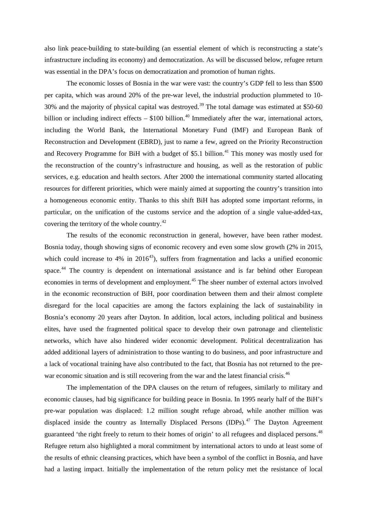also link peace-building to state-building (an essential element of which is reconstructing a state's infrastructure including its economy) and democratization. As will be discussed below, refugee return was essential in the DPA's focus on democratization and promotion of human rights.

The economic losses of Bosnia in the war were vast: the country's GDP fell to less than \$500 per capita, which was around 20% of the pre-war level, the industrial production plummeted to 10- 30% and the majority of physical capital was destroyed.<sup>[39](#page-19-18)</sup> The total damage was estimated at \$50-60 billion or including indirect effects – \$100 billion.<sup>[40](#page-19-19)</sup> Immediately after the war, international actors, including the World Bank, the International Monetary Fund (IMF) and European Bank of Reconstruction and Development (EBRD), just to name a few, agreed on the Priority Reconstruction and Recovery Programme for BiH with a budget of \$5.1 billion.<sup>[41](#page-19-20)</sup> This money was mostly used for the reconstruction of the country's infrastructure and housing, as well as the restoration of public services, e.g. education and health sectors. After 2000 the international community started allocating resources for different priorities, which were mainly aimed at supporting the country's transition into a homogeneous economic entity. Thanks to this shift BiH has adopted some important reforms, in particular, on the unification of the customs service and the adoption of a single value-added-tax, covering the territory of the whole country. $42$ 

The results of the economic reconstruction in general, however, have been rather modest. Bosnia today, though showing signs of economic recovery and even some slow growth (2% in 2015, which could increase to  $4\%$  in  $2016^{43}$  $2016^{43}$  $2016^{43}$ , suffers from fragmentation and lacks a unified economic space.<sup>[44](#page-19-23)</sup> The country is dependent on international assistance and is far behind other European economies in terms of development and employment.<sup>[45](#page-19-24)</sup> The sheer number of external actors involved in the economic reconstruction of BiH, poor coordination between them and their almost complete disregard for the local capacities are among the factors explaining the lack of sustainability in Bosnia's economy 20 years after Dayton. In addition, local actors, including political and business elites, have used the fragmented political space to develop their own patronage and clientelistic networks, which have also hindered wider economic development. Political decentralization has added additional layers of administration to those wanting to do business, and poor infrastructure and a lack of vocational training have also contributed to the fact, that Bosnia has not returned to the pre-war economic situation and is still recovering from the war and the latest financial crisis.<sup>[46](#page-19-25)</sup>

The implementation of the DPA clauses on the return of refugees, similarly to military and economic clauses, had big significance for building peace in Bosnia. In 1995 nearly half of the BiH's pre-war population was displaced: 1.2 million sought refuge abroad, while another million was displaced inside the country as Internally Displaced Persons (IDPs).<sup>[47](#page-19-26)</sup> The Dayton Agreement guaranteed 'the right freely to return to their homes of origin' to all refugees and displaced persons.<sup>[48](#page-19-27)</sup> Refugee return also highlighted a moral commitment by international actors to undo at least some of the results of ethnic cleansing practices, which have been a symbol of the conflict in Bosnia, and have had a lasting impact. Initially the implementation of the return policy met the resistance of local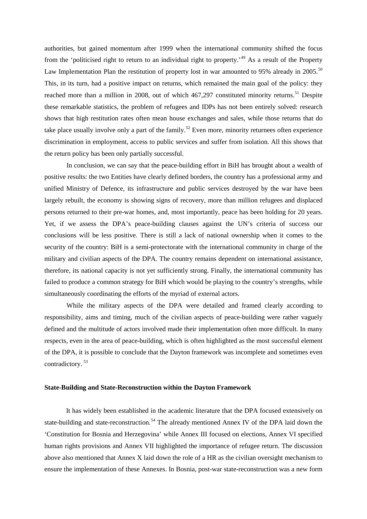authorities, but gained momentum after 1999 when the international community shifted the focus from the 'politicised right to return to an individual right to property.<sup>[49](#page-19-28)</sup> As a result of the Property Law Implementation Plan the restitution of property lost in war amounted to 95% already in 2005.<sup>[50](#page-19-29)</sup> This, in its turn, had a positive impact on returns, which remained the main goal of the policy: they reached more than a million in 2008, out of which 467,297 constituted minority returns.<sup>[51](#page-19-30)</sup> Despite these remarkable statistics, the problem of refugees and IDPs has not been entirely solved: research shows that high restitution rates often mean house exchanges and sales, while those returns that do take place usually involve only a part of the family.<sup>[52](#page-19-31)</sup> Even more, minority returnees often experience discrimination in employment, access to public services and suffer from isolation. All this shows that the return policy has been only partially successful.

In conclusion, we can say that the peace-building effort in BiH has brought about a wealth of positive results: the two Entities have clearly defined borders, the country has a professional army and unified Ministry of Defence, its infrastructure and public services destroyed by the war have been largely rebuilt, the economy is showing signs of recovery, more than million refugees and displaced persons returned to their pre-war homes, and, most importantly, peace has been holding for 20 years. Yet, if we assess the DPA's peace-building clauses against the UN's criteria of success our conclusions will be less positive. There is still a lack of national ownership when it comes to the security of the country: BiH is a semi-protectorate with the international community in charge of the military and civilian aspects of the DPA. The country remains dependent on international assistance, therefore, its national capacity is not yet sufficiently strong. Finally, the international community has failed to produce a common strategy for BiH which would be playing to the country's strengths, while simultaneously coordinating the efforts of the myriad of external actors.

While the military aspects of the DPA were detailed and framed clearly according to responsibility, aims and timing, much of the civilian aspects of peace-building were rather vaguely defined and the multitude of actors involved made their implementation often more difficult. In many respects, even in the area of peace-building, which is often highlighted as the most successful element of the DPA, it is possible to conclude that the Dayton framework was incomplete and sometimes even contradictory.<sup>[53](#page-19-32)</sup>

#### **State-Building and State-Reconstruction within the Dayton Framework**

It has widely been established in the academic literature that the DPA focused extensively on state-building and state-reconstruction.<sup>[54](#page-19-33)</sup> The already mentioned Annex IV of the DPA laid down the 'Constitution for Bosnia and Herzegovina' while Annex III focused on elections, Annex VI specified human rights provisions and Annex VII highlighted the importance of refugee return. The discussion above also mentioned that Annex X laid down the role of a HR as the civilian oversight mechanism to ensure the implementation of these Annexes. In Bosnia, post-war state-reconstruction was a new form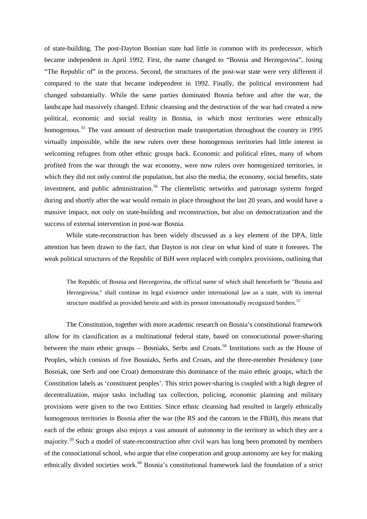of state-building. The post-Dayton Bosnian state had little in common with its predecessor, which became independent in April 1992. First, the name changed to "Bosnia and Herzegovina", losing "The Republic of" in the process. Second, the structures of the post-war state were very different if compared to the state that became independent in 1992. Finally, the political environment had changed substantially. While the same parties dominated Bosnia before and after the war, the landscape had massively changed. Ethnic cleansing and the destruction of the war had created a new political, economic and social reality in Bosnia, in which most territories were ethnically homogenous.<sup>[55](#page-19-34)</sup> The vast amount of destruction made transportation throughout the country in 1995 virtually impossible, while the new rulers over these homogenous territories had little interest in welcoming refugees from other ethnic groups back. Economic and political elites, many of whom profited from the war through the war economy, were now rulers over homogenized territories, in which they did not only control the population, but also the media, the economy, social benefits, state investment, and public administration.<sup>[56](#page-19-35)</sup> The clientelistic networks and patronage systems forged during and shortly after the war would remain in place throughout the last 20 years, and would have a massive impact, not only on state-building and reconstruction, but also on democratization and the success of external intervention in post-war Bosnia.

While state-reconstruction has been widely discussed as a key element of the DPA, little attention has been drawn to the fact, that Dayton is not clear on what kind of state it foresees. The weak political structures of the Republic of BiH were replaced with complex provisions, outlining that

The Republic of Bosnia and Herzegovina, the official name of which shall henceforth be "Bosnia and Herzegovina," shall continue its legal existence under international law as a state, with its internal structure modified as provided herein and with its present internationally recognized borders.<sup>[57](#page-19-36)</sup>

The Constitution, together with more academic research on Bosnia's constitutional framework allow for its classification as a multinational federal state, based on consociational power-sharing between the main ethnic groups – Bosniaks, Serbs and Croats.<sup>[58](#page-19-9)</sup> Institutions such as the House of Peoples, which consists of five Bosniaks, Serbs and Croats, and the three-member Presidency (one Bosniak, one Serb and one Croat) demonstrate this dominance of the main ethnic groups, which the Constitution labels as 'constituent peoples'. This strict power-sharing is coupled with a high degree of decentralization, major tasks including tax collection, policing, economic planning and military provisions were given to the two Entities. Since ethnic cleansing had resulted in largely ethnically homogenous territories in Bosnia after the war (the RS and the cantons in the FBiH), this means that each of the ethnic groups also enjoys a vast amount of autonomy in the territory in which they are a majority.<sup>[59](#page-19-37)</sup> Such a model of state-reconstruction after civil wars has long been promoted by members of the consociational school, who argue that elite cooperation and group autonomy are key for making ethnically divided societies work.<sup>[60](#page-19-38)</sup> Bosnia's constitutional framework laid the foundation of a strict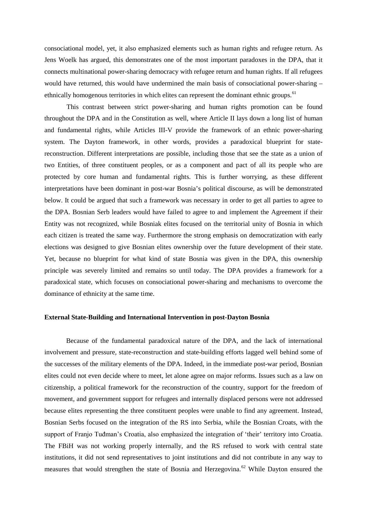consociational model, yet, it also emphasized elements such as human rights and refugee return. As Jens Woelk has argued, this demonstrates one of the most important paradoxes in the DPA, that it connects multinational power-sharing democracy with refugee return and human rights. If all refugees would have returned, this would have undermined the main basis of consociational power-sharing – ethnically homogenous territories in which elites can represent the dominant ethnic groups.<sup>[61](#page-19-39)</sup>

This contrast between strict power-sharing and human rights promotion can be found throughout the DPA and in the Constitution as well, where Article II lays down a long list of human and fundamental rights, while Articles III-V provide the framework of an ethnic power-sharing system. The Dayton framework, in other words, provides a paradoxical blueprint for statereconstruction. Different interpretations are possible, including those that see the state as a union of two Entities, of three constituent peoples, or as a component and pact of all its people who are protected by core human and fundamental rights. This is further worrying, as these different interpretations have been dominant in post-war Bosnia's political discourse, as will be demonstrated below. It could be argued that such a framework was necessary in order to get all parties to agree to the DPA. Bosnian Serb leaders would have failed to agree to and implement the Agreement if their Entity was not recognized, while Bosniak elites focused on the territorial unity of Bosnia in which each citizen is treated the same way. Furthermore the strong emphasis on democratization with early elections was designed to give Bosnian elites ownership over the future development of their state. Yet, because no blueprint for what kind of state Bosnia was given in the DPA, this ownership principle was severely limited and remains so until today. The DPA provides a framework for a paradoxical state, which focuses on consociational power-sharing and mechanisms to overcome the dominance of ethnicity at the same time.

#### **External State-Building and International Intervention in post-Dayton Bosnia**

Because of the fundamental paradoxical nature of the DPA, and the lack of international involvement and pressure, state-reconstruction and state-building efforts lagged well behind some of the successes of the military elements of the DPA. Indeed, in the immediate post-war period, Bosnian elites could not even decide where to meet, let alone agree on major reforms. Issues such as a law on citizenship, a political framework for the reconstruction of the country, support for the freedom of movement, and government support for refugees and internally displaced persons were not addressed because elites representing the three constituent peoples were unable to find any agreement. Instead, Bosnian Serbs focused on the integration of the RS into Serbia, while the Bosnian Croats, with the support of Franjo Tuđman's Croatia, also emphasized the integration of 'their' territory into Croatia. The FBiH was not working properly internally, and the RS refused to work with central state institutions, it did not send representatives to joint institutions and did not contribute in any way to measures that would strengthen the state of Bosnia and Herzegovina.<sup>[62](#page-19-40)</sup> While Dayton ensured the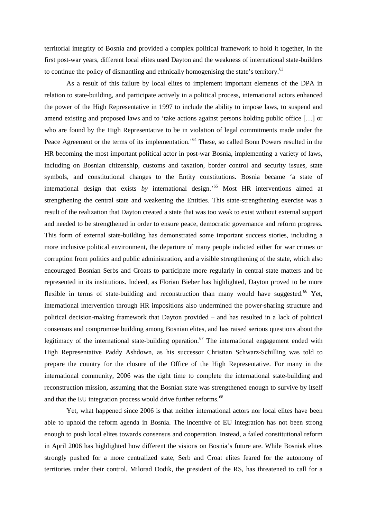territorial integrity of Bosnia and provided a complex political framework to hold it together, in the first post-war years, different local elites used Dayton and the weakness of international state-builders to continue the policy of dismantling and ethnically homogenising the state's territory. $63$ 

As a result of this failure by local elites to implement important elements of the DPA in relation to state-building, and participate actively in a political process, international actors enhanced the power of the High Representative in 1997 to include the ability to impose laws, to suspend and amend existing and proposed laws and to 'take actions against persons holding public office […] or who are found by the High Representative to be in violation of legal commitments made under the Peace Agreement or the terms of its implementation.<sup>[64](#page-19-42)</sup> These, so called Bonn Powers resulted in the HR becoming the most important political actor in post-war Bosnia, implementing a variety of laws, including on Bosnian citizenship, customs and taxation, border control and security issues, state symbols, and constitutional changes to the Entity constitutions. Bosnia became 'a state of international design that exists *by* international design.'[65](#page-19-43) Most HR interventions aimed at strengthening the central state and weakening the Entities. This state-strengthening exercise was a result of the realization that Dayton created a state that was too weak to exist without external support and needed to be strengthened in order to ensure peace, democratic governance and reform progress. This form of external state-building has demonstrated some important success stories, including a more inclusive political environment, the departure of many people indicted either for war crimes or corruption from politics and public administration, and a visible strengthening of the state, which also encouraged Bosnian Serbs and Croats to participate more regularly in central state matters and be represented in its institutions. Indeed, as Florian Bieber has highlighted, Dayton proved to be more flexible in terms of state-building and reconstruction than many would have suggested.<sup>[66](#page-19-44)</sup> Yet, international intervention through HR impositions also undermined the power-sharing structure and political decision-making framework that Dayton provided – and has resulted in a lack of political consensus and compromise building among Bosnian elites, and has raised serious questions about the legitimacy of the international state-building operation.<sup>[67](#page-19-45)</sup> The international engagement ended with High Representative Paddy Ashdown, as his successor Christian Schwarz-Schilling was told to prepare the country for the closure of the Office of the High Representative. For many in the international community, 2006 was the right time to complete the international state-building and reconstruction mission, assuming that the Bosnian state was strengthened enough to survive by itself and that the EU integration process would drive further reforms.<sup>[68](#page-19-46)</sup>

Yet, what happened since 2006 is that neither international actors nor local elites have been able to uphold the reform agenda in Bosnia. The incentive of EU integration has not been strong enough to push local elites towards consensus and cooperation. Instead, a failed constitutional reform in April 2006 has highlighted how different the visions on Bosnia's future are. While Bosniak elites strongly pushed for a more centralized state, Serb and Croat elites feared for the autonomy of territories under their control. Milorad Dodik, the president of the RS, has threatened to call for a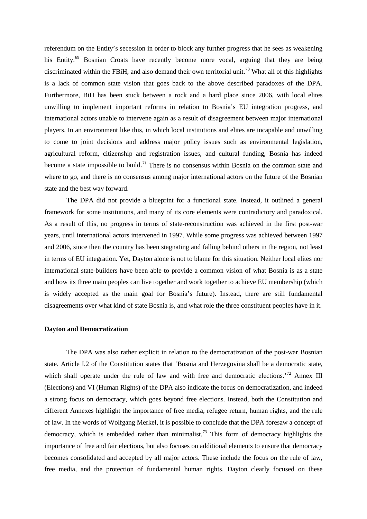referendum on the Entity's secession in order to block any further progress that he sees as weakening his Entity.<sup>[69](#page-19-47)</sup> Bosnian Croats have recently become more vocal, arguing that they are being discriminated within the FBiH, and also demand their own territorial unit.<sup>[70](#page-19-48)</sup> What all of this highlights is a lack of common state vision that goes back to the above described paradoxes of the DPA. Furthermore, BiH has been stuck between a rock and a hard place since 2006, with local elites unwilling to implement important reforms in relation to Bosnia's EU integration progress, and international actors unable to intervene again as a result of disagreement between major international players. In an environment like this, in which local institutions and elites are incapable and unwilling to come to joint decisions and address major policy issues such as environmental legislation, agricultural reform, citizenship and registration issues, and cultural funding, Bosnia has indeed become a state impossible to build.<sup>[71](#page-19-49)</sup> There is no consensus within Bosnia on the common state and where to go, and there is no consensus among major international actors on the future of the Bosnian state and the best way forward.

The DPA did not provide a blueprint for a functional state. Instead, it outlined a general framework for some institutions, and many of its core elements were contradictory and paradoxical. As a result of this, no progress in terms of state-reconstruction was achieved in the first post-war years, until international actors intervened in 1997. While some progress was achieved between 1997 and 2006, since then the country has been stagnating and falling behind others in the region, not least in terms of EU integration. Yet, Dayton alone is not to blame for this situation. Neither local elites nor international state-builders have been able to provide a common vision of what Bosnia is as a state and how its three main peoples can live together and work together to achieve EU membership (which is widely accepted as the main goal for Bosnia's future). Instead, there are still fundamental disagreements over what kind of state Bosnia is, and what role the three constituent peoples have in it.

#### **Dayton and Democratization**

The DPA was also rather explicit in relation to the democratization of the post-war Bosnian state. Article I.2 of the Constitution states that 'Bosnia and Herzegovina shall be a democratic state, which shall operate under the rule of law and with free and democratic elections.<sup>[72](#page-19-50)</sup> Annex III (Elections) and VI (Human Rights) of the DPA also indicate the focus on democratization, and indeed a strong focus on democracy, which goes beyond free elections. Instead, both the Constitution and different Annexes highlight the importance of free media, refugee return, human rights, and the rule of law. In the words of Wolfgang Merkel, it is possible to conclude that the DPA foresaw a concept of democracy, which is embedded rather than minimalist.<sup>[73](#page-19-51)</sup> This form of democracy highlights the importance of free and fair elections, but also focuses on additional elements to ensure that democracy becomes consolidated and accepted by all major actors. These include the focus on the rule of law, free media, and the protection of fundamental human rights. Dayton clearly focused on these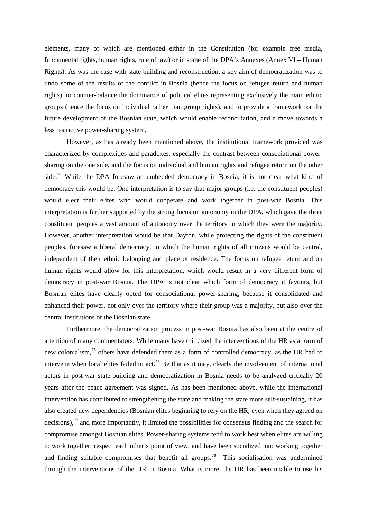elements, many of which are mentioned either in the Constitution (for example free media, fundamental rights, human rights, rule of law) or in some of the DPA's Annexes (Annex VI – Human Rights). As was the case with state-building and reconstruction, a key aim of democratization was to undo some of the results of the conflict in Bosnia (hence the focus on refugee return and human rights), to counter-balance the dominance of political elites representing exclusively the main ethnic groups (hence the focus on individual rather than group rights), and to provide a framework for the future development of the Bosnian state, which would enable reconciliation, and a move towards a less restrictive power-sharing system.

However, as has already been mentioned above, the institutional framework provided was characterized by complexities and paradoxes, especially the contrast between consociational powersharing on the one side, and the focus on individual and human rights and refugee return on the other side.<sup>[74](#page-19-52)</sup> While the DPA foresaw an embedded democracy in Bosnia, it is not clear what kind of democracy this would be. One interpretation is to say that major groups (i.e. the constituent peoples) would elect their elites who would cooperate and work together in post-war Bosnia. This interpretation is further supported by the strong focus on autonomy in the DPA, which gave the three constituent peoples a vast amount of autonomy over the territory in which they were the majority. However, another interpretation would be that Dayton, while protecting the rights of the constituent peoples, foresaw a liberal democracy, in which the human rights of all citizens would be central, independent of their ethnic belonging and place of residence. The focus on refugee return and on human rights would allow for this interpretation, which would result in a very different form of democracy in post-war Bosnia. The DPA is not clear which form of democracy it favours, but Bosnian elites have clearly opted for consociational power-sharing, because it consolidated and enhanced their power, not only over the territory where their group was a majority, but also over the central institutions of the Bosnian state.

Furthermore, the democratization process in post-war Bosnia has also been at the centre of attention of many commentators. While many have criticized the interventions of the HR as a form of new colonialism,<sup>[75](#page-19-53)</sup> others have defended them as a form of controlled democracy, as the HR had to intervene when local elites failed to act.<sup>[76](#page-19-54)</sup> Be that as it may, clearly the involvement of international actors in post-war state-building and democratization in Bosnia needs to be analyzed critically 20 years after the peace agreement was signed. As has been mentioned above, while the international intervention has contributed to strengthening the state and making the state more self-sustaining, it has also created new dependencies (Bosnian elites beginning to rely on the HR, even when they agreed on decisions), $^{77}$  $^{77}$  $^{77}$  and more importantly, it limited the possibilities for consensus finding and the search for compromise amongst Bosnian elites. Power-sharing systems tend to work best when elites are willing to work together, respect each other's point of view, and have been socialized into working together and finding suitable compromises that benefit all groups.<sup>[78](#page-19-37)</sup> This socialisation was undermined through the interventions of the HR in Bosnia. What is more, the HR has been unable to use his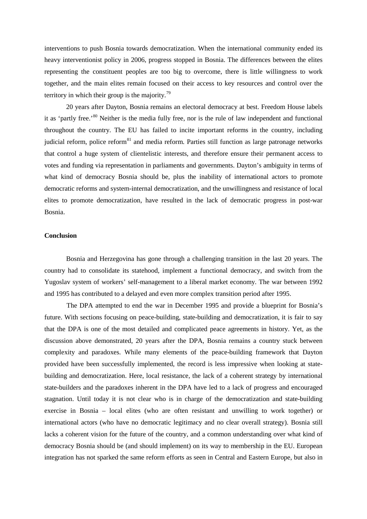interventions to push Bosnia towards democratization. When the international community ended its heavy interventionist policy in 2006, progress stopped in Bosnia. The differences between the elites representing the constituent peoples are too big to overcome, there is little willingness to work together, and the main elites remain focused on their access to key resources and control over the territory in which their group is the majority.<sup>[79](#page-19-38)</sup>

20 years after Dayton, Bosnia remains an electoral democracy at best. Freedom House labels it as 'partly free.'[80](#page-19-55) Neither is the media fully free, nor is the rule of law independent and functional throughout the country. The EU has failed to incite important reforms in the country, including judicial reform, police reform<sup>[81](#page-19-56)</sup> and media reform. Parties still function as large patronage networks that control a huge system of clientelistic interests, and therefore ensure their permanent access to votes and funding via representation in parliaments and governments. Dayton's ambiguity in terms of what kind of democracy Bosnia should be, plus the inability of international actors to promote democratic reforms and system-internal democratization, and the unwillingness and resistance of local elites to promote democratization, have resulted in the lack of democratic progress in post-war Bosnia.

## **Conclusion**

Bosnia and Herzegovina has gone through a challenging transition in the last 20 years. The country had to consolidate its statehood, implement a functional democracy, and switch from the Yugoslav system of workers' self-management to a liberal market economy. The war between 1992 and 1995 has contributed to a delayed and even more complex transition period after 1995.

The DPA attempted to end the war in December 1995 and provide a blueprint for Bosnia's future. With sections focusing on peace-building, state-building and democratization, it is fair to say that the DPA is one of the most detailed and complicated peace agreements in history. Yet, as the discussion above demonstrated, 20 years after the DPA, Bosnia remains a country stuck between complexity and paradoxes. While many elements of the peace-building framework that Dayton provided have been successfully implemented, the record is less impressive when looking at statebuilding and democratization. Here, local resistance, the lack of a coherent strategy by international state-builders and the paradoxes inherent in the DPA have led to a lack of progress and encouraged stagnation. Until today it is not clear who is in charge of the democratization and state-building exercise in Bosnia – local elites (who are often resistant and unwilling to work together) or international actors (who have no democratic legitimacy and no clear overall strategy). Bosnia still lacks a coherent vision for the future of the country, and a common understanding over what kind of democracy Bosnia should be (and should implement) on its way to membership in the EU. European integration has not sparked the same reform efforts as seen in Central and Eastern Europe, but also in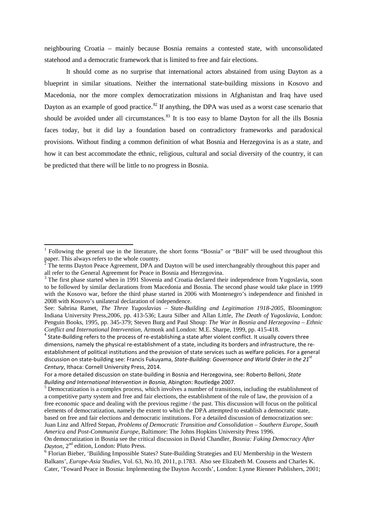neighbouring Croatia – mainly because Bosnia remains a contested state, with unconsolidated statehood and a democratic framework that is limited to free and fair elections.

It should come as no surprise that international actors abstained from using Dayton as a blueprint in similar situations. Neither the international state-building missions in Kosovo and Macedonia, nor the more complex democratization missions in Afghanistan and Iraq have used Dayton as an example of good practice.<sup>[82](#page-19-57)</sup> If anything, the DPA was used as a worst case scenario that should be avoided under all circumstances.<sup>[83](#page-19-58)</sup> It is too easy to blame Dayton for all the ills Bosnia faces today, but it did lay a foundation based on contradictory frameworks and paradoxical provisions. Without finding a common definition of what Bosnia and Herzegovina is as a state, and how it can best accommodate the ethnic, religious, cultural and social diversity of the country, it can be predicted that there will be little to no progress in Bosnia.

-

<span id="page-16-0"></span><sup>&</sup>lt;sup>1</sup> Following the general use in the literature, the short forms "Bosnia" or "BiH" will be used throughout this paper. This always refers to the whole country.

<span id="page-16-1"></span> $2^7$  The terms Dayton Peace Agreement, DPA and Dayton will be used interchangeably throughout this paper and all refer to the General Agreement for Peace in Bosnia and Herzegovina.

<span id="page-16-2"></span><sup>&</sup>lt;sup>3</sup> The first phase started when in 1991 Slovenia and Croatia declared their independence from Yugoslavia, soon to be followed by similar declarations from Macedonia and Bosnia. The second phase would take place in 1999 with the Kosovo war, before the third phase started in 2006 with Montenegro's independence and finished in 2008 with Kosovo's unilateral declaration of independence.

See: Sabrina Ramet, *The Three Yugoslavias – State-Building and Legitimation 1918-2005*, Bloomington: Indiana University Press,2006, pp. 413-536; Laura Silber and Allan Little, *The Death of Yugoslavia*, London: Penguin Books, 1995, pp. 345-379; Steven Burg and Paul Shoup: *The War in Bosnia and Herzegovina – Ethnic Conflict and International Intervention*, Armonk and London: M.E. Sharpe, 1999, pp. 415-418.

<span id="page-16-3"></span><sup>&</sup>lt;sup>4</sup> State-Building refers to the process of re-establishing a state after violent conflict. It usually covers three dimensions, namely the physical re-establishment of a state, including its borders and infrastructure, the reestablishment of political institutions and the provision of state services such as welfare policies. For a general discussion on state-building see: Francis Fukuyama, *State-Building: Governance and World Order in the 21st Century*, Ithaca: Cornell University Press, 2014.

For a more detailed discussion on state-building in Bosnia and Herzegovina, see: Roberto Belloni, *State Building and International Intervention in Bosnia,* Abington: Routledge 2007.

<span id="page-16-4"></span><sup>&</sup>lt;sup>5</sup> Democratization is a complex process, which involves a number of transitions, including the establishment of a competitive party system and free and fair elections, the establishment of the rule of law, the provision of a free economic space and dealing with the previous regime / the past. This discussion will focus on the political elements of democratization, namely the extent to which the DPA attempted to establish a democratic state, based on free and fair elections and democratic institutions. For a detailed discussion of democratization see: Juan Linz and Alfred Stepan, *Problems of Democratic Transition and Consolidation – Southern Europe, South America and Post-Communist Europe*, Baltimore: The Johns Hopkins University Press 1996.

On democratization in Bosnia see the critical discussion in David Chandler*, Bosnia: Faking Democracy After Dayton*, 2nd edition, London: Pluto Press.

<sup>&</sup>lt;sup>6</sup> Florian Bieber, 'Building Impossible States? State-Building Strategies and EU Membership in the Western Balkans', *Europe-Asia Studies*, Vol. 63, No.10, 2011, p.1783. Also see Elizabeth M. Cousens and Charles K. Cater, 'Toward Peace in Bosnia: Implementing the Dayton Accords', London: Lynne Rienner Publishers, 2001;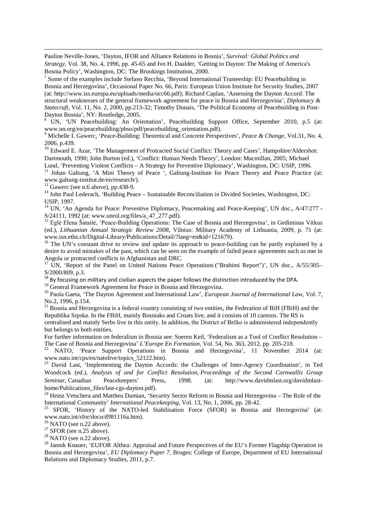Pauline Neville‐Jones, 'Dayton, IFOR and Alliance Relations in Bosnia', *Survival: Global Politics and Strategy*, Vol. 38, No. 4, 1996, pp. 45-65 and Ivo H. Daalder, 'Getting to Dayton: The Making of America's Bosnia Policy', Washington, DC: The Brookings Institution, 2000.

<span id="page-17-1"></span><sup>7</sup> Some of the examples include Stefano Recchia, 'Beyond International Trusteeship: EU Peacebuilding in Bosnia and Herzegovina', Occasional Paper No. 66, Paris: European Union Institute for Security Studies, 2007 (at: http://www.iss.europa.eu/uploads/media/occ66.pdf); Richard Caplan, 'Assessing the Dayton Accord: The structural weaknesses of the general framework agreement for peace in Bosnia and Herzegovina', *Diplomacy & Statecraft*, Vol. 11, No. 2, 2000, pp.213-32; Timothy Donais, The Political Economy of Peacebuilding in Post-Dayton Bosnia', NY: Routledge, 2005.

<span id="page-17-2"></span><sup>8</sup> UN, 'UN Peacebuilding: An Orientation', Peacebuilding Support Office, September 2010, p.5 (at: www.un.org/en/peacebuilding/pbso/pdf/peacebuilding\_orientation.pdf).

<span id="page-17-3"></span><sup>9</sup> Michelle I. Gawerc, 'Peace-Building: Theoretical and Concrete Perspectives', *Peace & Change*, Vol.31, No. 4, 2006, p.439.

<span id="page-17-4"></span><sup>10</sup> Edward E. Azar, 'The Management of Protracted Social Conflict: Theory and Cases', Hampshire/Aldershot: Dartmouth, 1990; John Burton (ed.), 'Conflict: Human Needs Theory', London: Macmillan, 2005; Michael Lund, 'Preventing Violent Conflicts – A Strategy for Preventive Diplomacy', Washington, DC: USIP, 1996.

<span id="page-17-5"></span><sup>11</sup> Johan Galtung, 'A Mini Theory of Peace ', Galtung-Institute for Peace Theory and Peace Practice (at: www.galtung-institut.de/en/research/).

 $12$  Gawerc (see n.6 above), pp.438-9.

<u>.</u>

<span id="page-17-6"></span><sup>13</sup> John Paul Lederach, 'Building Peace – Sustainable Reconciliation in Divided Societies, Washington, DC: USIP, 1997.

<sup>14</sup> UN, 'An Agenda for Peace: Preventive Diplomacy, Peacemaking and Peace-Keeping', UN doc., A/47/277 -S/24111, 1992 (at: www.unrol.org/files/a\_47\_277.pdf).

<sup>15</sup> Eglė Elena Šataitė, 'Peace-Building Operations: The Case of Bosnia and Herzegovina', in Gediminas Vitkus (ed.), *Lithuanian Annual Strategic Review 2008*, Vilnius: Military Academy of Lithuania, 2009, p. 71 (at: www.isn.ethz.ch/Digital-Library/Publications/Detail/?lang=en&id=121679).

<sup>16</sup> The UN's constant drive to review and update its approach to peace-building can be partly explained by a desire to avoid mistakes of the past, which can be seen on the example of failed peace agreements such as one in Angola or protracted conflicts in Afghanistan and DRC.

17 UN, 'Report of the Panel on United Nations Peace Operations ("Brahimi Report")', UN doc., A/55/305– S/2000/809, p.3.

 $18$  By focusing on military and civilian aspects the paper follows the distinction introduced by the DPA.

<sup>19</sup> General Framework Agreement for Peace in Bosnia and Herzegovina.

<sup>20</sup> Paola Gaeta, 'The Dayton Agreement and International Law', *European Journal of International Law*, Vol. 7, No.2, 1996, p.154.

<sup>21</sup> Bosnia and Herzegovina is a federal country consisting of two entities, the Federation of BiH (FBiH) and the Republika Srpska. In the FBiH, mainly Bosniaks and Croats live, and it consists of 10 cantons. The RS is centralised and mainly Serbs live in this entity. In addition, the District of Brčko is administered independently but belongs to both entities.

For further information on federalism in Bosnia see: Soeren Keil, 'Federalism as a Tool of Conflict Resolution – The Case of Bosnia and Herzegovina' *L'Europe En Formation*, Vol. 54, No. 363, 2012, pp. 205-218.

NATO, 'Peace Support Operations in Bosnia and Herzegovina', 11 November 2014 (at: www.nato.int/cps/en/natolive/topics\_52122.htm).

<sup>23</sup> David Last, 'Implementing the Dayton Accords: the Challenges of Inter-Agency Coordination', in Ted Woodcock (ed.), *Analysis of and for Conflict Resolution, Proceedings of the Second Cornwallis Group Seminar*, Canadian Peacekeepers' Press, 1998. (at: http://www.davidmlast.org/davidmlasthome/Publications\_files/last-cgs-dayton.pdf).

<sup>24</sup> Heinz Vetschera and Mattheu Damian, 'Security Sector Reform in Bosnia and Herzegovina – The Role of the International Community' *International Peacekeeping*, Vol. 13, No. 1, 2006, pp. 28-42.

<sup>25</sup> SFOR, 'History of the NATO-led Stabilisation Force (SFOR) in Bosnia and Herzegovina' (at: www.nato.int/sfor/docu/d981116a.htm).

 $26$  NATO (see n.22 above).

 $27$  SFOR (see n.25 above).

 $28$  NATO (see n.22 above).

<span id="page-17-0"></span><sup>29</sup> Jannik Knauer, 'EUFOR Althea: Appraisal and Future Perspectives of the EU's Former Flagship Operation in Bosnia and Herzegovina', *EU Diplomacy Paper 7*, Bruges: College of Europe, Department of EU International Relations and Diplomacy Studies, 2011, p.7.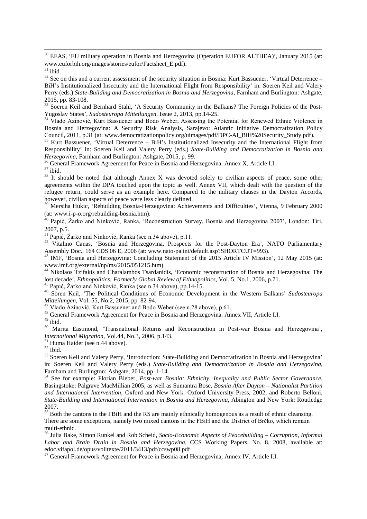<sup>30</sup> EEAS, 'EU military operation in Bosnia and Herzegovina (Operation EUFOR ALTHEA)', January 2015 (at: www.euforbih.org/images/stories/eufor/Factsheet\_E.pdf).

<u>.</u>

 $32$  See on this and a current assessment of the security situation in Bosnia: Kurt Bassuener, 'Virtual Deterrence – BiH's Institutionalized Insecurity and the International Flight from Responsibility' in: Soeren Keil and Valery Perry (eds.) *State-Building and Democratization in Bosnia and Herzegovina*, Farnham and Burlington: Ashgate, 2015, pp. 83-108.

<sup>33</sup> Soeren Keil and Bernhard Stahl, 'A Security Community in the Balkans? The Foreign Policies of the Post-Yugoslav States', *Sudosteuropa Mitteilungen*, Issue 2, 2013, pp.14-25.

<sup>34</sup> Vlado Azinović, Kurt Bassuener and Bodo Weber, Assessing the Potential for Renewed Ethnic Violence in Bosnia and Herzegovina: A Security Risk Analysis, Sarajevo: Atlantic Initiative Democratization Policy Council, 2011, p.31 (at: www.democratizationpolicy.org/uimages/pdf/DPC-AI\_BiH%20Security\_Study.pdf).

<sup>35</sup> Kurt Bassuener, 'Virtual Deterrence – BiH's Institutionalized Insecurity and the International Flight from Responsibility' in: Soeren Keil and Valery Perry (eds.) *State-Building and Democratization in Bosnia and Herzegovina*, Farnham and Burlington: Ashgate, 2015, p. 99.

<sup>36</sup> General Framework Agreement for Peace in Bosnia and Herzegovina. Annex X, Article I.I.  $37$  ibid.

<sup>38</sup> It should be noted that although Annex X was devoted solely to civilian aspects of peace, some other agreements within the DPA touched upon the topic as well. Annex VII, which dealt with the question of the refugee return, could serve as an example here. Compared to the military clauses in the Dayton Accords, however, civilian aspects of peace were less clearly defined.

<span id="page-18-1"></span><span id="page-18-0"></span><sup>39</sup> Mersiha Hukic, 'Rebuilding Bosnia-Herzegovina: Achievements and Difficulties'. Vienna, 9 February 2000 (at: www.i-p-o.org/rebuilding-bosnia.htm).

<span id="page-18-2"></span> $^{40}$  Papić, Žarko and Ninković, Ranka, 'Reconstruction Survey, Bosnia and Herzegovina 2007', London: Tiri, 2007, p.5.

<sup>41</sup> Papić, Žarko and Ninković, Ranka (see n.34 above), p.11.

<span id="page-18-3"></span><sup>42</sup> Vitalino Canas, 'Bosnia and Herzegovina, Prospects for the Post-Dayton Era', NATO Parliamentary Assembly Doc., 164 CDS 06 E, 2006 (at: www.nato-pa.int/default.asp?SHORTCUT=993).

<sup>43</sup> IMF. 'Bosnia and Herzegovina: Concluding Statement of the 2015 Article IV Mission', 12 May 2015 (at: www.imf.org/external/np/ms/2015/051215.htm).

<span id="page-18-5"></span><span id="page-18-4"></span><sup>44</sup> Nikolaos Tzifakis and Charalambos Tsardanidis, 'Economic reconstruction of Bosnia and Herzegovina: The lost decade', *Ethnopolitics: Formerly Global Review of Ethnopolitics*, Vol. 5, No.1, 2006, p.71.

<span id="page-18-6"></span><sup>45</sup> Papić, Žarko and Ninković, Ranka (see n.34 above), pp.14-15.

<span id="page-18-7"></span><sup>46</sup> Sören Keil, 'The Political Conditions of Economic Development in the Western Balkans' *Südosteuropa Mitteilungen*, Vol. 55, No.2, 2015, pp. 82-94.

<sup>47</sup> Vlado Azinović, Kurt Bassuener and Bodo Weber (see n.28 above), p.61.

<sup>48</sup> General Framework Agreement for Peace in Bosnia and Herzegovina. Annex VII, Article I.I.

 $49$  ibid.

<sup>50</sup> Marita Eastmond, 'Transnational Returns and Reconstruction in Post-war Bosnia and Herzegovina', *International Migration*, Vol.44, No.3, 2006, p.143.

<sup>51</sup> Huma Haider (see n.44 above).

 $52$  Ibid.

<sup>53</sup> Soeren Keil and Valery Perry, 'Introduction: State-Building and Democratization in Bosnia and Herzegovina' in: Soeren Keil and Valery Perry (eds.) *State-Building and Democratization in Bosnia and Herzegovina*, Farnham and Burlington: Ashgate, 2014, pp. 1-14.

<sup>54</sup> See for example: Florian Bieber, *Post-war Bosnia: Ethnicity, Inequality and Public Sector Governance*, Basingstoke: Palgrave MacMillian 2005, as well as Sumantra Bose, *Bosnia After Dayton – Nationalist Partition and International Intervention,* Oxford and New York: Oxford University Press, 2002, and Roberto Belloni, *State-Building and International Intervention in Bosnia and Herzegovina*, Abington and New York: Routledge 2007.

<sup>55</sup> Both the cantons in the FBiH and the RS are mainly ethnically homogenous as a result of ethnic cleansing. There are some exceptions, namely two mixed cantons in the FBiH and the District of Brčko, which remain multi-ethnic.

<sup>56</sup> Julia Bake, Simon Runkel and Rob Scheid, *Socio-Economic Aspects of Peacebuilding – Corruption, Informal Labor and Brain Drain in Bosnia and Herzegovina*, CCS Working Papers, No. 8, 2008, available at: edoc.vifapol.de/opus/volltexte/2011/3413/pdf/ccswp08.pdf

<sup>57</sup> General Framework Agreement for Peace in Bosnia and Herzegovina, Annex IV, Article I.I.

 $31$  ibid.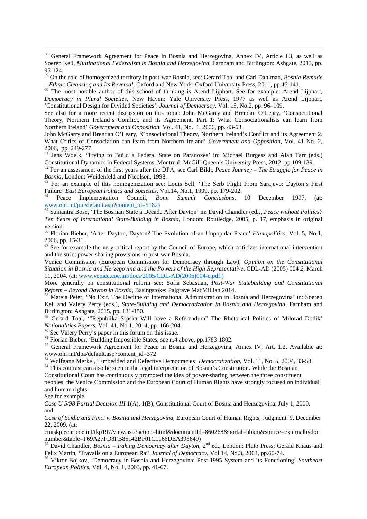<span id="page-19-9"></span><sup>58</sup> General Framework Agreement for Peace in Bosnia and Herzegovina, Annex IV, Article I.3, as well as Soeren Keil, *Multinational Federalism in Bosnia and Herzegovina*, Farnham and Burlington: Ashgate, 2013, pp. 95-124.

<span id="page-19-37"></span><span id="page-19-11"></span><span id="page-19-10"></span><sup>59</sup> On the role of homogenized territory in post-war Bosnia, see: Gerard Toal and Carl Dahlman, *Bosnia Remade – Ethnic Cleansing and Its Reversal,* Oxford and New York: Oxford University Press, 2011, pp.46-141.

<span id="page-19-38"></span><sup>60</sup> The most notable author of this school of thinking is Arend Lijphart. See for example: Arend Lijphart, *Democracy in Plural Societies*, New Haven: Yale University Press, 1977 as well as Arend Lijphart, 'Constitutional Design for Divided Societies'*. Journal of Democracy*. Vol. 15, No.2, pp. 96–109.

<span id="page-19-55"></span><span id="page-19-13"></span><span id="page-19-12"></span>See also for a more recent discussion on this topic: John McGarry and Brendan O'Leary, 'Consociational Theory, Northern Ireland's Conflict, and its Agreement. Part 1: What Consociationalists can learn from Northern Ireland' *Government and Opposition*, Vol. 41, No. 1, 2006, pp. 43-63.

<span id="page-19-57"></span><span id="page-19-56"></span><span id="page-19-14"></span>John McGarry and Brendan O'Leary, 'Consociational Theory, Northern Ireland's Conflict and its Agreement 2. What Critics of Consociation can learn from Northern Ireland' *Government and Opposition*, Vol. 41 No. 2, 2006, pp. 249-277.

<span id="page-19-39"></span><sup>61</sup> Jens Woelk, 'Trying to Build a Federal State on Paradoxes' in: Michael Burgess and Alan Tarr (eds.) Constitutional Dynamics in Federal Systems, Montreal: McGill-Queen's University Press, 2012, pp.109-139.

<span id="page-19-58"></span><span id="page-19-40"></span><span id="page-19-16"></span><span id="page-19-15"></span><sup>62</sup> For an assessment of the first years after the DPA, see Carl Bildt, *Peace Journey – The Struggle for Peace in Bosnia*, London: Weidenfeld and Nicolson, 1998.

<span id="page-19-41"></span><span id="page-19-17"></span><sup>63</sup> For an example of this homogenization see: Louis Sell, 'The Serb Flight From Sarajevo: Dayton's First Failure' *East European Politics and Societies*, Vol.14, No.1, 1999, pp. 179-202.

<span id="page-19-42"></span><sup>64</sup> Peace Implementation Council, *Bonn Summit Conclusions*, 10 December 1997, (at: [www.ohr.int/pic/default.asp?content\\_id=5182\)](http://www.ohr.int/pic/default.asp?content_id=5182)

<span id="page-19-43"></span><span id="page-19-19"></span><span id="page-19-18"></span><sup>65</sup> Sumantra Bose, 'The Bosnian State a Decade After Dayton' in: David Chandler (ed*.), Peace without Politics? Ten Years of International State-Building in Bosnia*, London: Routledge, 2005, p. 17, emphasis in original version.

<span id="page-19-44"></span><span id="page-19-20"></span><sup>66</sup> Florian Bieber, 'After Dayton, Dayton? The Evolution of an Unpopular Peace' *Ethnopolitics*, Vol. 5, No.1, 2006, pp. 15-31.

<span id="page-19-45"></span><span id="page-19-21"></span> $\frac{67}{67}$  See for example the very critical report by the Council of Europe, which criticizes international intervention and the strict power-sharing provisions in post-war Bosnia.

<span id="page-19-22"></span>Venice Commission (European Commission for Democracy through Law), *Opinion on the Constitutional Situation in Bosnia and Herzegovina and the Powers of the High Representative*. CDL-AD (2005) 004 *2*, March 11, 2004. (at: [www.venice.coe.int/docs/2005/CDL-AD\(2005\)004-e.pdf.\)](http://www.venice.coe.int/docs/2005/CDL-AD(2005)004-e.pdf.)) 

<span id="page-19-24"></span><span id="page-19-23"></span>More generally on constitutional reform see: Sofia Sebastian, *Post-War Statebuilding and Constitutional Reform – Beyond Dayton in Bosnia*, Basingstoke: Palgrave MacMillian 2014.

<span id="page-19-46"></span><span id="page-19-25"></span><sup>68</sup> Mateja Peter, 'No Exit. The Decline of International Administration in Bosnia and Herzegovina' in: Soeren Keil and Valery Perry (eds.), *State-Building and Democratization in Bosnia and Herzegovina*, Farnham and Burlington: Ashgate, 2015, pp. 131-150.

<span id="page-19-47"></span><span id="page-19-28"></span><span id="page-19-27"></span><span id="page-19-26"></span><span id="page-19-0"></span><sup>69</sup> Gerard Toal, '"Republika Srpska Will have a Referendum" The Rhetorical Politics of Milorad Dodik' *Nationalities Papers*, Vol. 41, No.1, 2014, pp. 166-204.

 $70$  See Valery Perry's paper in this forum on this issue.

<span id="page-19-49"></span><span id="page-19-48"></span><span id="page-19-30"></span><span id="page-19-29"></span><sup>71</sup> Florian Bieber, 'Building Impossible States, see n.4 above, pp.1783-1802.

<span id="page-19-50"></span><span id="page-19-31"></span><span id="page-19-1"></span><sup>72</sup> General Framework Agreement for Peace in Bosnia and Herzegovina, Annex IV, Art. 1.2. Available at: www.ohr.int/dpa/default.asp?content\_id=372

<span id="page-19-32"></span><sup>73</sup> Wolfgang Merkel, 'Embedded and Defective Democracies' *Democratization*, Vol. 11, No. 5, 2004, 33-58.

<span id="page-19-52"></span><span id="page-19-51"></span><span id="page-19-2"></span> $74$  This contrast can also be seen in the legal interpretation of Bosnia's Constitution. While the Bosnian Constitutional Court has continuously promoted the idea of power-sharing between the three constituent

<span id="page-19-33"></span>peoples, the Venice Commission and the European Court of Human Rights have strongly focused on individual and human rights.

<span id="page-19-3"></span>See for example

<u>.</u>

*Case U 5/98 Partial Decision III* 1(A), 1(B), Constitutional Court of Bosnia and Herzegovina, July 1, 2000. and

<span id="page-19-34"></span><span id="page-19-5"></span><span id="page-19-4"></span>*Case of Sejdic and Finci v. Bosnia and Herzegovina*, European Court of Human Rights, Judgment 9, December 22, 2009. (at:

<span id="page-19-35"></span><span id="page-19-7"></span><span id="page-19-6"></span>cmiskp.echr.coe.int/tkp197/view.asp?action=html&documentId=860268&portal=hbkm&source=externalbydoc number&table=F69A27FD8FB86142BF01C1166DEA398649)

<span id="page-19-53"></span><span id="page-19-8"></span><sup>75</sup> David Chandler, *Bosnia – Faking Democracy after Dayton*, 2<sup>nd</sup> ed., London: Pluto Press; Gerald Knaus and Felix Martin, 'Travails on a European Raj' *Journal of Democracy*, Vol.14, No.3, 2003, pp.60-74.

<span id="page-19-54"></span><span id="page-19-36"></span><sup>76</sup> Viktor Bojkov, 'Democracy in Bosnia and Herzegovina: Post-1995 System and its Functioning' *Southeast European Politics*, Vol. 4, No. 1, 2003, pp. 41-67.